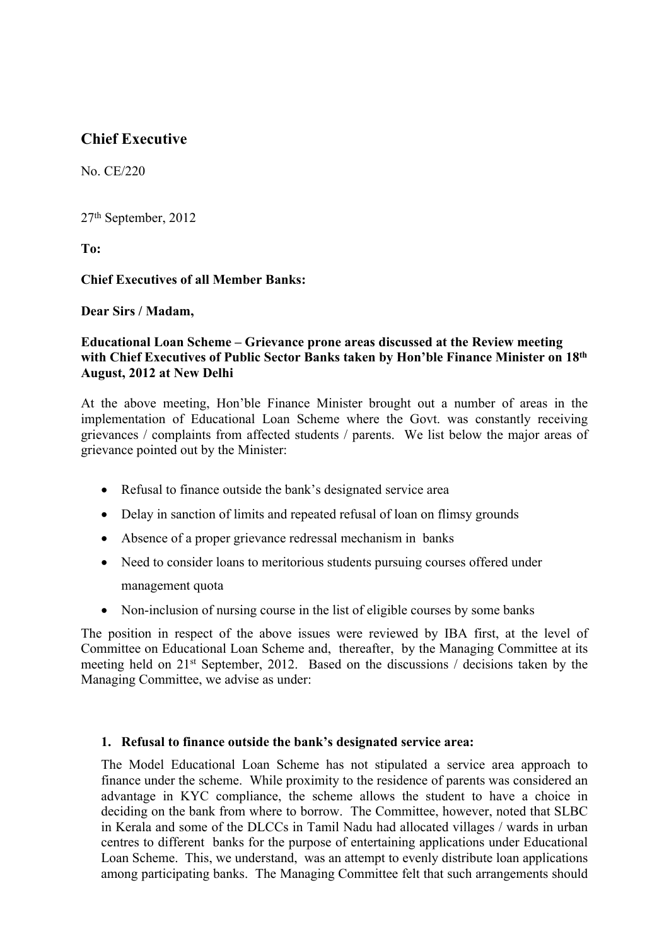# **Chief Executive**

No. CE/220

27th September, 2012

**To:**

**Chief Executives of all Member Banks:**

**Dear Sirs / Madam,**

## **Educational Loan Scheme – Grievance prone areas discussed at the Review meeting with Chief Executives of Public Sector Banks taken by Hon'ble Finance Minister on 18th August, 2012 at New Delhi**

At the above meeting, Hon'ble Finance Minister brought out a number of areas in the implementation of Educational Loan Scheme where the Govt. was constantly receiving grievances / complaints from affected students / parents. We list below the major areas of grievance pointed out by the Minister:

- Refusal to finance outside the bank's designated service area
- Delay in sanction of limits and repeated refusal of loan on flimsy grounds
- Absence of a proper grievance redressal mechanism in banks
- Need to consider loans to meritorious students pursuing courses offered under management quota
- Non-inclusion of nursing course in the list of eligible courses by some banks

The position in respect of the above issues were reviewed by IBA first, at the level of Committee on Educational Loan Scheme and, thereafter, by the Managing Committee at its meeting held on 21st September, 2012. Based on the discussions / decisions taken by the Managing Committee, we advise as under:

## **1. Refusal to finance outside the bank's designated service area:**

The Model Educational Loan Scheme has not stipulated a service area approach to finance under the scheme. While proximity to the residence of parents was considered an advantage in KYC compliance, the scheme allows the student to have a choice in deciding on the bank from where to borrow. The Committee, however, noted that SLBC in Kerala and some of the DLCCs in Tamil Nadu had allocated villages / wards in urban centres to different banks for the purpose of entertaining applications under Educational Loan Scheme. This, we understand, was an attempt to evenly distribute loan applications among participating banks. The Managing Committee felt that such arrangements should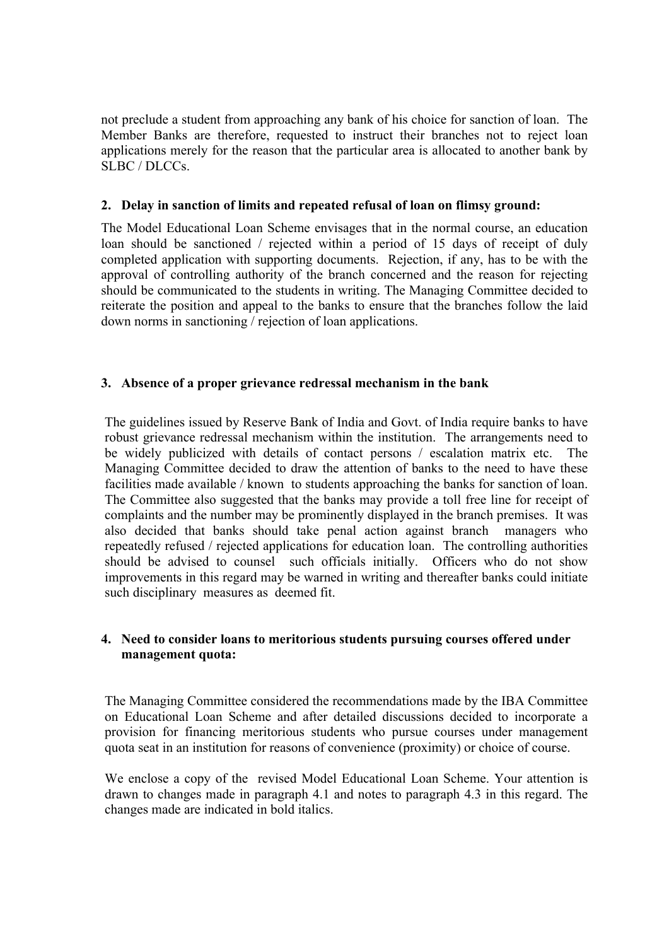not preclude a student from approaching any bank of his choice for sanction of loan. The Member Banks are therefore, requested to instruct their branches not to reject loan applications merely for the reason that the particular area is allocated to another bank by SLBC / DLCCs.

#### **2. Delay in sanction of limits and repeated refusal of loan on flimsy ground:**

The Model Educational Loan Scheme envisages that in the normal course, an education loan should be sanctioned / rejected within a period of 15 days of receipt of duly completed application with supporting documents. Rejection, if any, has to be with the approval of controlling authority of the branch concerned and the reason for rejecting should be communicated to the students in writing. The Managing Committee decided to reiterate the position and appeal to the banks to ensure that the branches follow the laid down norms in sanctioning / rejection of loan applications.

## **3. Absence of a proper grievance redressal mechanism in the bank**

The guidelines issued by Reserve Bank of India and Govt. of India require banks to have robust grievance redressal mechanism within the institution. The arrangements need to be widely publicized with details of contact persons / escalation matrix etc. The Managing Committee decided to draw the attention of banks to the need to have these facilities made available / known to students approaching the banks for sanction of loan. The Committee also suggested that the banks may provide a toll free line for receipt of complaints and the number may be prominently displayed in the branch premises. It was also decided that banks should take penal action against branch managers who repeatedly refused / rejected applications for education loan. The controlling authorities should be advised to counsel such officials initially. Officers who do not show improvements in this regard may be warned in writing and thereafter banks could initiate such disciplinary measures as deemed fit.

#### **4. Need to consider loans to meritorious students pursuing courses offered under management quota:**

The Managing Committee considered the recommendations made by the IBA Committee on Educational Loan Scheme and after detailed discussions decided to incorporate a provision for financing meritorious students who pursue courses under management quota seat in an institution for reasons of convenience (proximity) or choice of course.

We enclose a copy of the revised Model Educational Loan Scheme. Your attention is drawn to changes made in paragraph 4.1 and notes to paragraph 4.3 in this regard. The changes made are indicated in bold italics.